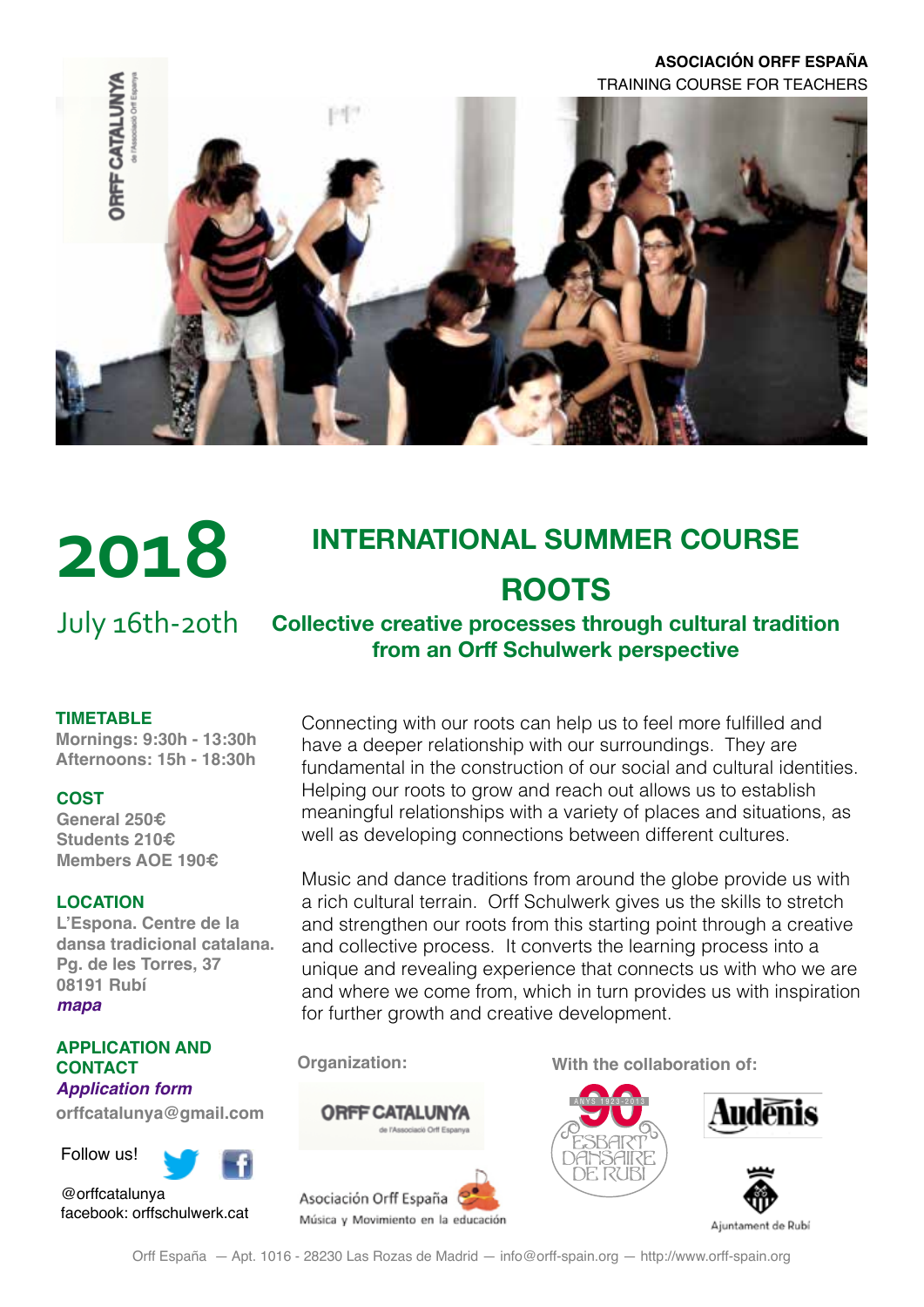### **ASOCIACIÓN ORFF ESPAÑA** TRAINING COURSE FOR TEACHERS





# **INTERNATIONAL SUMMER COURSE ROOTS**

July 16th-20th

### **Collective creative processes through cultural tradition from an Orff Schulwerk perspective**

#### **TIMETABLE**

**Mornings: 9:30h - 13:30h Afternoons: 15h - 18:30h**

#### **COST**

**General 250€ Students 210€ Members AOE 190€**

#### **LOCATION**

**[L'Espona. Centre de la](http://www.esponadansa.cat/index.php?lang=ca)  [dansa tradicional catalana.](http://www.esponadansa.cat/index.php?lang=ca) Pg. de les Torres, 37 08191 Rubí** *[mapa](https://drive.google.com/open?id=1uWE8P9zAC3Y1REgiu-CAVWNc3fI&usp=sharing)*

#### **APPLICATION AND CONTACT** *[Application form](https://goo.gl/forms/NYAQa5hnZ82rSnCo2)*

**[orffcatalunya@gmail.com](mailto:orffcatalunya%40gmail.com?subject=)**

Follow us!

@orffcatalunya facebook: orffschulwerk.cat Connecting with our roots can help us to feel more fulfilled and have a deeper relationship with our surroundings. They are fundamental in the construction of our social and cultural identities. Helping our roots to grow and reach out allows us to establish meaningful relationships with a variety of places and situations, as well as developing connections between different cultures.

Music and dance traditions from around the globe provide us with a rich cultural terrain. Orff Schulwerk gives us the skills to stretch and strengthen our roots from this starting point through a creative and collective process. It converts the learning process into a unique and revealing experience that connects us with who we are and where we come from, which in turn provides us with inspiration for further growth and creative development.





**Organization: With the collaboration of:**

[ANYS 1923-2013](http://www.esbartderubi.cat/v2/ca/documentos/paginas/default.asp)





Ajuntament de Rubi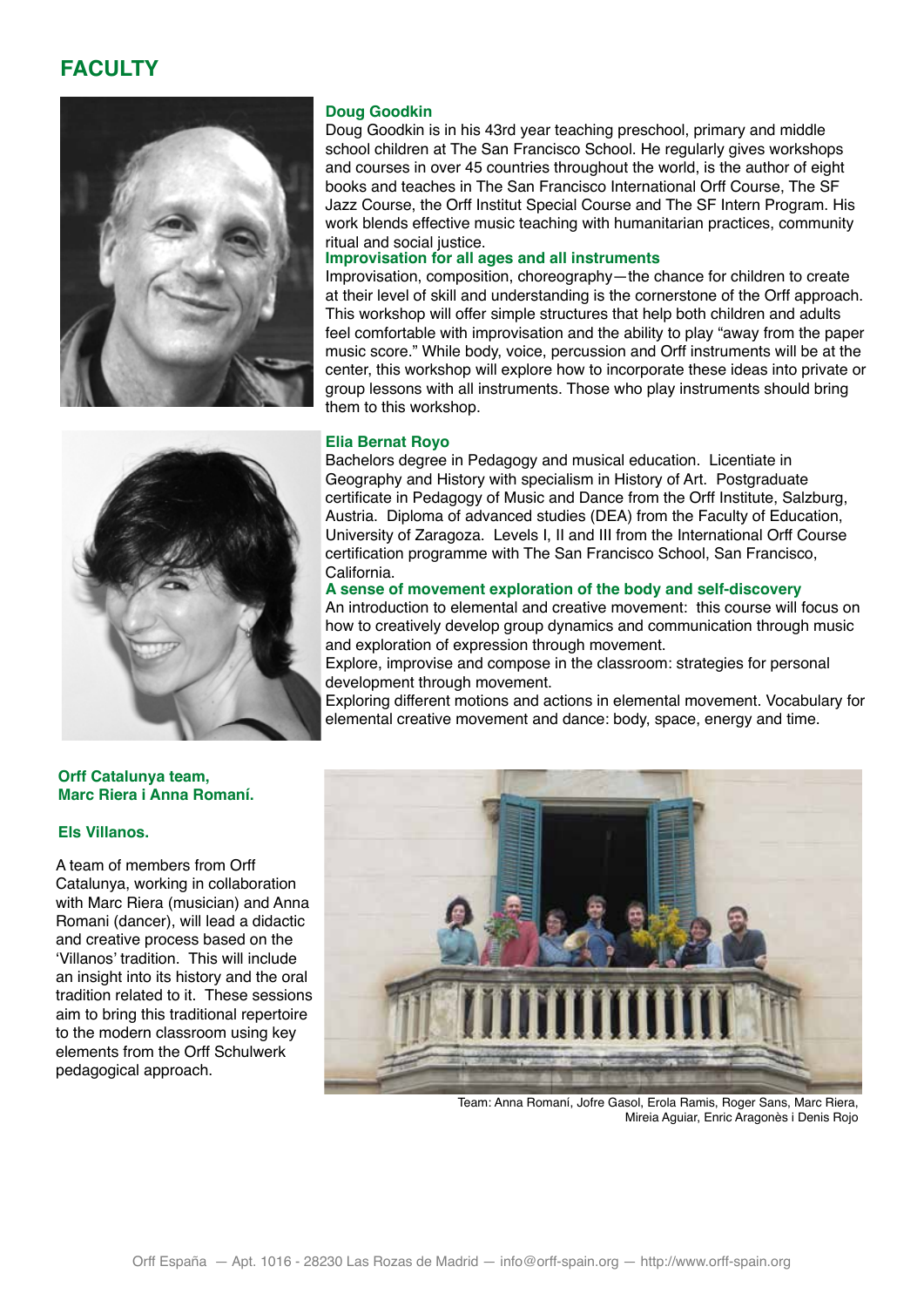## **FACULTY**



#### **Doug Goodkin**

Doug Goodkin is in his 43rd year teaching preschool, primary and middle school children at The San Francisco School. He regularly gives workshops and courses in over 45 countries throughout the world, is the author of eight books and teaches in The San Francisco International Orff Course, The SF Jazz Course, the Orff Institut Special Course and The SF Intern Program. His work blends effective music teaching with humanitarian practices, community ritual and social justice.

### **Improvisation for all ages and all instruments**

Improvisation, composition, choreography—the chance for children to create at their level of skill and understanding is the cornerstone of the Orff approach. This workshop will offer simple structures that help both children and adults feel comfortable with improvisation and the ability to play "away from the paper music score." While body, voice, percussion and Orff instruments will be at the center, this workshop will explore how to incorporate these ideas into private or group lessons with all instruments. Those who play instruments should bring them to this workshop.

#### **Elia Bernat Royo**

Bachelors degree in Pedagogy and musical education. Licentiate in Geography and History with specialism in History of Art. Postgraduate certificate in Pedagogy of Music and Dance from the Orff Institute, Salzburg, Austria. Diploma of advanced studies (DEA) from the Faculty of Education, University of Zaragoza. Levels I, II and III from the International Orff Course certification programme with The San Francisco School, San Francisco, California.

#### **A sense of movement exploration of the body and self-discovery**

An introduction to elemental and creative movement: this course will focus on how to creatively develop group dynamics and communication through music and exploration of expression through movement.

Explore, improvise and compose in the classroom: strategies for personal development through movement.

Exploring different motions and actions in elemental movement. Vocabulary for elemental creative movement and dance: body, space, energy and time.



#### **Els Villanos.**

A team of members from Orff Catalunya, working in collaboration with Marc Riera (musician) and Anna Romani (dancer), will lead a didactic and creative process based on the 'Villanos' tradition. This will include an insight into its history and the oral tradition related to it. These sessions aim to bring this traditional repertoire to the modern classroom using key elements from the Orff Schulwerk pedagogical approach.



Team: Anna Romaní, Jofre Gasol, Erola Ramis, Roger Sans, Marc Riera, Mireia Aguiar, Enric Aragonès i Denis Rojo